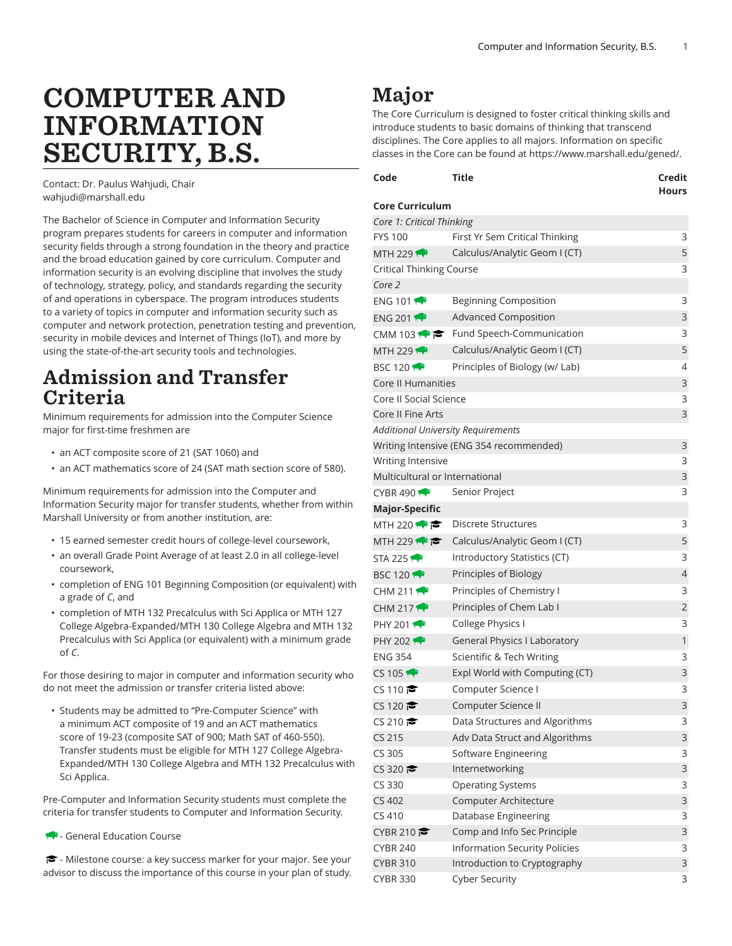# COMPUTER AND INFORMATION SECURITY, B.S.

Contact: Dr. Paulus Wahjudi, Chair [wahjudi@marshall.edu](mailto:wahjudi@marshall.edu)

The Bachelor of Science in Computer and Information Security program prepares students for careers in computer and information security fields through a strong foundation in the theory and practice and the broad education gained by core curriculum. Computer and information security is an evolving discipline that involves the study of technology, strategy, policy, and standards regarding the security of and operations in cyberspace. The program introduces students to a variety of topics in computer and information security such as computer and network protection, penetration testing and prevention, security in mobile devices and Internet of Things (IoT), and more by using the state-of-the-art security tools and technologies.

## Admission and Transfer Criteria

Minimum requirements for admission into the Computer Science major for first-time freshmen are

- an ACT composite score of 21 (SAT 1060) and
- an ACT mathematics score of 24 (SAT math section score of 580).

Minimum requirements for admission into the Computer and Information Security major for transfer students, whether from within Marshall University or from another institution, are:

- 15 earned semester credit hours of college-level coursework,
- an overall Grade Point Average of at least 2.0 in all college-level coursework,
- completion of ENG 101 Beginning Composition (or equivalent) with a grade of *C*, and
- completion of MTH 132 Precalculus with Sci Applica or MTH 127 College Algebra-Expanded/MTH 130 College Algebra and MTH 132 Precalculus with Sci Applica (or equivalent) with a minimum grade of *C*.

For those desiring to major in computer and information security who do not meet the admission or transfer criteria listed above:

• Students may be admitted to "Pre-Computer Science" with a minimum ACT composite of 19 and an ACT mathematics score of 19-23 (composite SAT of 900; Math SAT of 460-550). Transfer students must be eligible for MTH 127 College Algebra-Expanded/MTH 130 College Algebra and MTH 132 Precalculus with Sci Applica.

Pre-Computer and Information Security students must complete the criteria for transfer students to Computer and Information Security.

- General Education Course

- Milestone course: a key success marker for your major. See your advisor to discuss the importance of this course in your plan of study.

# Major

The Core Curriculum is designed to foster critical thinking skills and introduce students to basic domains of thinking that transcend disciplines. The Core applies to all majors. Information on specific classes in the Core can be found at <https://www.marshall.edu/gened/>.

| Code                                      | Title                                               | Credit<br><b>Hours</b> |
|-------------------------------------------|-----------------------------------------------------|------------------------|
| <b>Core Curriculum</b>                    |                                                     |                        |
| Core 1: Critical Thinking                 |                                                     |                        |
| <b>FYS 100</b>                            | First Yr Sem Critical Thinking                      | 3                      |
| MTH 229                                   | Calculus/Analytic Geom I (CT)                       | 5                      |
| <b>Critical Thinking Course</b>           |                                                     | 3                      |
| Core 2                                    |                                                     |                        |
| ENG 101                                   | Beginning Composition                               | 3                      |
| <b>ENG 2011</b>                           | <b>Advanced Composition</b>                         | 3                      |
|                                           | CMM 103 $\bullet \bullet$ Fund Speech-Communication | 3                      |
| MTH 229                                   | Calculus/Analytic Geom I (CT)                       | 5                      |
| <b>BSC 120</b>                            | Principles of Biology (w/ Lab)                      | 4                      |
| <b>Core II Humanities</b>                 |                                                     | 3                      |
| Core II Social Science                    |                                                     | 3                      |
| Core II Fine Arts                         |                                                     | 3                      |
| <b>Additional University Requirements</b> |                                                     |                        |
|                                           | Writing Intensive (ENG 354 recommended)             | 3                      |
| Writing Intensive                         |                                                     | 3                      |
| Multicultural or International            |                                                     | 3                      |
| CYBR 490                                  | Senior Project                                      | 3                      |
| <b>Major-Specific</b>                     |                                                     |                        |
| MTH 220 $\rightarrow$ $\approx$           | <b>Discrete Structures</b>                          | 3                      |
| MTH 229 $\leftrightarrow$                 | Calculus/Analytic Geom I (CT)                       | 5                      |
| STA 225                                   | Introductory Statistics (CT)                        | 3                      |
| <b>BSC 12017</b>                          | Principles of Biology                               | $\overline{4}$         |
| CHM 211 $\bullet$                         | Principles of Chemistry I                           | 3                      |
| CHM 217 $\rightarrow$                     | Principles of Chem Lab I                            | $\overline{c}$         |
| PHY 201 $\bullet$                         | College Physics I                                   | 3                      |
| PHY 202 $\rightarrow$                     | General Physics I Laboratory                        | $\mathbf{1}$           |
| <b>ENG 354</b>                            | Scientific & Tech Writing                           | 3                      |
| $CS$ 105                                  | Expl World with Computing (CT)                      | 3                      |
| CS 110 $\approx$                          | Computer Science I                                  | 3                      |
| CS 120 $\approx$                          | Computer Science II                                 | 3                      |
| CS 210                                    | Data Structures and Algorithms                      | 3                      |
| CS 215                                    | Adv Data Struct and Algorithms                      | 3                      |
| CS 305                                    | Software Engineering                                | 3                      |
| CS 320 $\approx$                          | Internetworking                                     | 3                      |
| CS 330                                    | <b>Operating Systems</b>                            | 3                      |
| CS 402                                    | Computer Architecture                               | 3                      |
| CS 410                                    | Database Engineering                                | 3                      |
| CYBR 210                                  | Comp and Info Sec Principle                         | 3                      |
| <b>CYBR 240</b>                           | <b>Information Security Policies</b>                | 3                      |
| <b>CYBR 310</b>                           | Introduction to Cryptography                        | 3                      |
| <b>CYBR 330</b>                           | <b>Cyber Security</b>                               | 3                      |